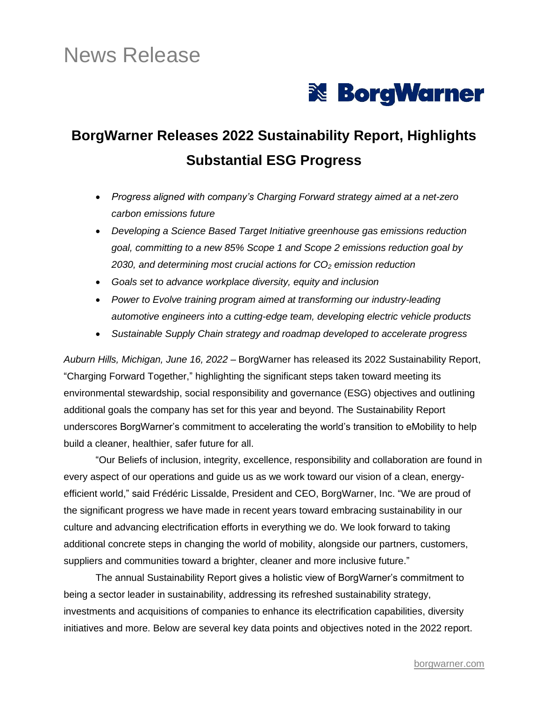# News Release



## **BorgWarner Releases 2022 Sustainability Report, Highlights Substantial ESG Progress**

- *Progress aligned with company's Charging Forward strategy aimed at a net-zero carbon emissions future*
- *Developing a Science Based Target Initiative greenhouse gas emissions reduction goal, committing to a new 85% Scope 1 and Scope 2 emissions reduction goal by 2030, and determining most crucial actions for CO<sup>2</sup> emission reduction*
- *Goals set to advance workplace diversity, equity and inclusion*
- *Power to Evolve training program aimed at transforming our industry-leading automotive engineers into a cutting-edge team, developing electric vehicle products*
- *Sustainable Supply Chain strategy and roadmap developed to accelerate progress*

*Auburn Hills, Michigan, June 16, 2022* – BorgWarner has released its 2022 Sustainability Report, "Charging Forward Together," highlighting the significant steps taken toward meeting its environmental stewardship, social responsibility and governance (ESG) objectives and outlining additional goals the company has set for this year and beyond. The Sustainability Report underscores BorgWarner's commitment to accelerating the world's transition to eMobility to help build a cleaner, healthier, safer future for all.

"Our Beliefs of inclusion, integrity, excellence, responsibility and collaboration are found in every aspect of our operations and guide us as we work toward our vision of a clean, energyefficient world," said Frédéric Lissalde, President and CEO, BorgWarner, Inc. "We are proud of the significant progress we have made in recent years toward embracing sustainability in our culture and advancing electrification efforts in everything we do. We look forward to taking additional concrete steps in changing the world of mobility, alongside our partners, customers, suppliers and communities toward a brighter, cleaner and more inclusive future."

The annual Sustainability Report gives a holistic view of BorgWarner's commitment to being a sector leader in sustainability, addressing its refreshed sustainability strategy, investments and acquisitions of companies to enhance its electrification capabilities, diversity initiatives and more. Below are several key data points and objectives noted in the 2022 report.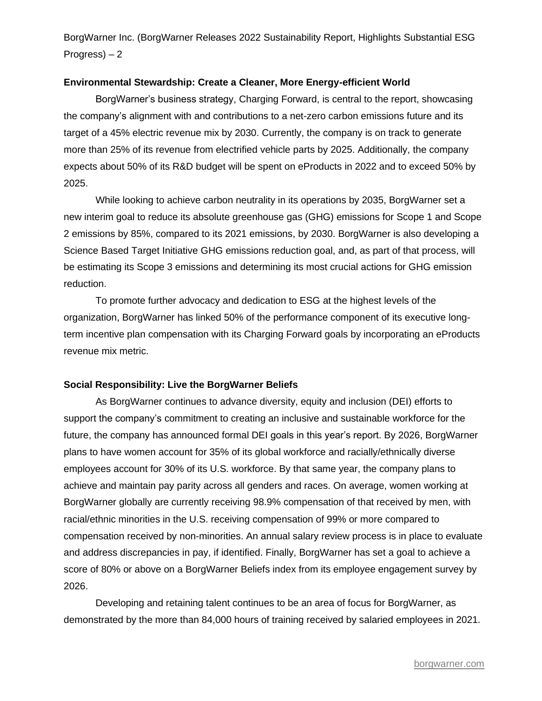## **Environmental Stewardship: Create a Cleaner, More Energy-efficient World**

BorgWarner's business strategy, Charging Forward, is central to the report, showcasing the company's alignment with and contributions to a net-zero carbon emissions future and its target of a 45% electric revenue mix by 2030. Currently, the company is on track to generate more than 25% of its revenue from electrified vehicle parts by 2025. Additionally, the company expects about 50% of its R&D budget will be spent on eProducts in 2022 and to exceed 50% by 2025.

While looking to achieve carbon neutrality in its operations by 2035, BorgWarner set a new interim goal to reduce its absolute greenhouse gas (GHG) emissions for Scope 1 and Scope 2 emissions by 85%, compared to its 2021 emissions, by 2030. BorgWarner is also developing a Science Based Target Initiative GHG emissions reduction goal, and, as part of that process, will be estimating its Scope 3 emissions and determining its most crucial actions for GHG emission reduction.

To promote further advocacy and dedication to ESG at the highest levels of the organization, BorgWarner has linked 50% of the performance component of its executive longterm incentive plan compensation with its Charging Forward goals by incorporating an eProducts revenue mix metric.

#### **Social Responsibility: Live the BorgWarner Beliefs**

As BorgWarner continues to advance diversity, equity and inclusion (DEI) efforts to support the company's commitment to creating an inclusive and sustainable workforce for the future, the company has announced formal DEI goals in this year's report. By 2026, BorgWarner plans to have women account for 35% of its global workforce and racially/ethnically diverse employees account for 30% of its U.S. workforce. By that same year, the company plans to achieve and maintain pay parity across all genders and races. On average, women working at BorgWarner globally are currently receiving 98.9% compensation of that received by men, with racial/ethnic minorities in the U.S. receiving compensation of 99% or more compared to compensation received by non-minorities. An annual salary review process is in place to evaluate and address discrepancies in pay, if identified. Finally, BorgWarner has set a goal to achieve a score of 80% or above on a BorgWarner Beliefs index from its employee engagement survey by 2026.

Developing and retaining talent continues to be an area of focus for BorgWarner, as demonstrated by the more than 84,000 hours of training received by salaried employees in 2021.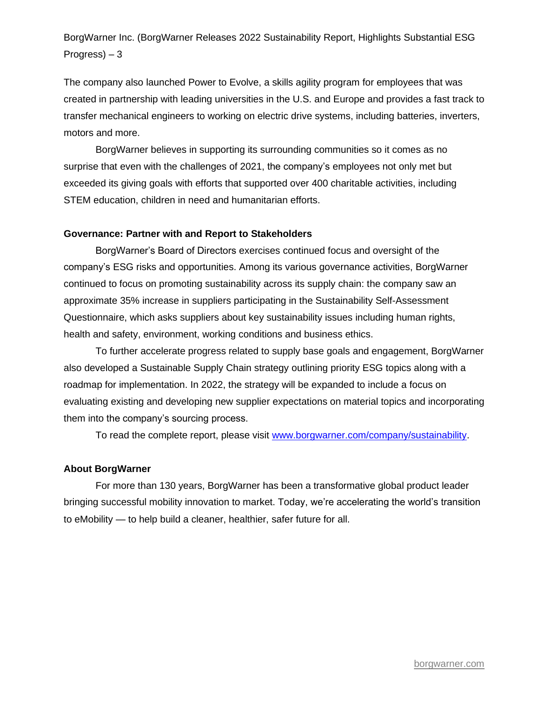The company also launched Power to Evolve, a skills agility program for employees that was created in partnership with leading universities in the U.S. and Europe and provides a fast track to transfer mechanical engineers to working on electric drive systems, including batteries, inverters, motors and more.

BorgWarner believes in supporting its surrounding communities so it comes as no surprise that even with the challenges of 2021, the company's employees not only met but exceeded its giving goals with efforts that supported over 400 charitable activities, including STEM education, children in need and humanitarian efforts.

## **Governance: Partner with and Report to Stakeholders**

BorgWarner's Board of Directors exercises continued focus and oversight of the company's ESG risks and opportunities. Among its various governance activities, BorgWarner continued to focus on promoting sustainability across its supply chain: the company saw an approximate 35% increase in suppliers participating in the Sustainability Self-Assessment Questionnaire, which asks suppliers about key sustainability issues including human rights, health and safety, environment, working conditions and business ethics.

To further accelerate progress related to supply base goals and engagement, BorgWarner also developed a Sustainable Supply Chain strategy outlining priority ESG topics along with a roadmap for implementation. In 2022, the strategy will be expanded to include a focus on evaluating existing and developing new supplier expectations on material topics and incorporating them into the company's sourcing process.

To read the complete report, please visit [www.borgwarner.com/company/sustainability.](https://www.borgwarner.com/company/sustainability)

#### **About BorgWarner**

For more than 130 years, BorgWarner has been a transformative global product leader bringing successful mobility innovation to market. Today, we're accelerating the world's transition to eMobility — to help build a cleaner, healthier, safer future for all.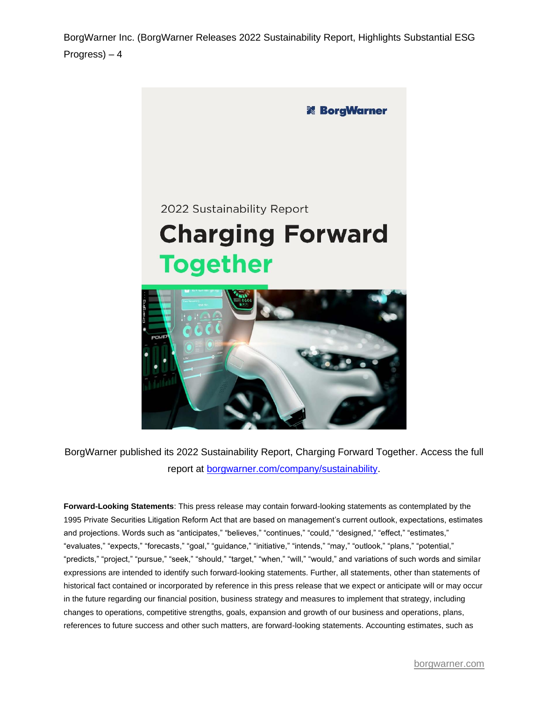

BorgWarner published its 2022 Sustainability Report, Charging Forward Together. Access the full report at [borgwarner.com/company/sustainability.](https://www.borgwarner.com/company/sustainability)

**Forward-Looking Statements**: This press release may contain forward-looking statements as contemplated by the 1995 Private Securities Litigation Reform Act that are based on management's current outlook, expectations, estimates and projections. Words such as "anticipates," "believes," "continues," "could," "designed," "effect," "estimates," "evaluates," "expects," "forecasts," "goal," "guidance," "initiative," "intends," "may," "outlook," "plans," "potential," "predicts," "project," "pursue," "seek," "should," "target," "when," "will," "would," and variations of such words and similar expressions are intended to identify such forward-looking statements. Further, all statements, other than statements of historical fact contained or incorporated by reference in this press release that we expect or anticipate will or may occur in the future regarding our financial position, business strategy and measures to implement that strategy, including changes to operations, competitive strengths, goals, expansion and growth of our business and operations, plans, references to future success and other such matters, are forward-looking statements. Accounting estimates, such as